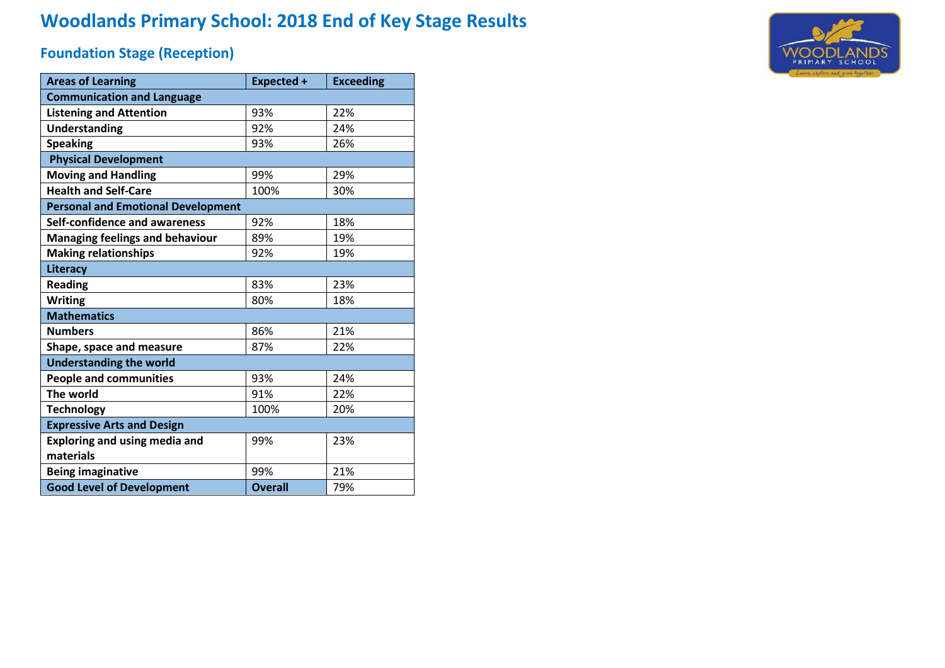# **Woodlands Primary School: 2018 End of Key Stage Results**

## **Foundation Stage (Reception)**

| <b>Areas of Learning</b>                  | <b>Expected +</b> | <b>Exceeding</b> |  |  |  |  |  |  |  |  |  |
|-------------------------------------------|-------------------|------------------|--|--|--|--|--|--|--|--|--|
| <b>Communication and Language</b>         |                   |                  |  |  |  |  |  |  |  |  |  |
| <b>Listening and Attention</b>            | 93%               | 22%              |  |  |  |  |  |  |  |  |  |
| <b>Understanding</b>                      | 92%               | 24%              |  |  |  |  |  |  |  |  |  |
| <b>Speaking</b>                           | 93%               | 26%              |  |  |  |  |  |  |  |  |  |
| <b>Physical Development</b>               |                   |                  |  |  |  |  |  |  |  |  |  |
| <b>Moving and Handling</b>                | 99%               | 29%              |  |  |  |  |  |  |  |  |  |
| <b>Health and Self-Care</b>               | 100%              | 30%              |  |  |  |  |  |  |  |  |  |
| <b>Personal and Emotional Development</b> |                   |                  |  |  |  |  |  |  |  |  |  |
| Self-confidence and awareness             | 92%               | 18%              |  |  |  |  |  |  |  |  |  |
| <b>Managing feelings and behaviour</b>    | 89%               | 19%              |  |  |  |  |  |  |  |  |  |
| <b>Making relationships</b>               | 92%               | 19%              |  |  |  |  |  |  |  |  |  |
| Literacy                                  |                   |                  |  |  |  |  |  |  |  |  |  |
| <b>Reading</b>                            | 83%               | 23%              |  |  |  |  |  |  |  |  |  |
| <b>Writing</b>                            | 80%               | 18%              |  |  |  |  |  |  |  |  |  |
| <b>Mathematics</b>                        |                   |                  |  |  |  |  |  |  |  |  |  |
| <b>Numbers</b>                            | 86%               | 21%              |  |  |  |  |  |  |  |  |  |
| Shape, space and measure                  | 87%               | 22%              |  |  |  |  |  |  |  |  |  |
| <b>Understanding the world</b>            |                   |                  |  |  |  |  |  |  |  |  |  |
| <b>People and communities</b>             | 93%               | 24%              |  |  |  |  |  |  |  |  |  |
| The world                                 | 91%               | 22%              |  |  |  |  |  |  |  |  |  |
| <b>Technology</b>                         | 100%              | 20%              |  |  |  |  |  |  |  |  |  |
| <b>Expressive Arts and Design</b>         |                   |                  |  |  |  |  |  |  |  |  |  |
| <b>Exploring and using media and</b>      | 99%               | 23%              |  |  |  |  |  |  |  |  |  |
| materials                                 |                   |                  |  |  |  |  |  |  |  |  |  |
| <b>Being imaginative</b>                  | 99%               | 21%              |  |  |  |  |  |  |  |  |  |
| <b>Good Level of Development</b>          | <b>Overall</b>    | 79%              |  |  |  |  |  |  |  |  |  |